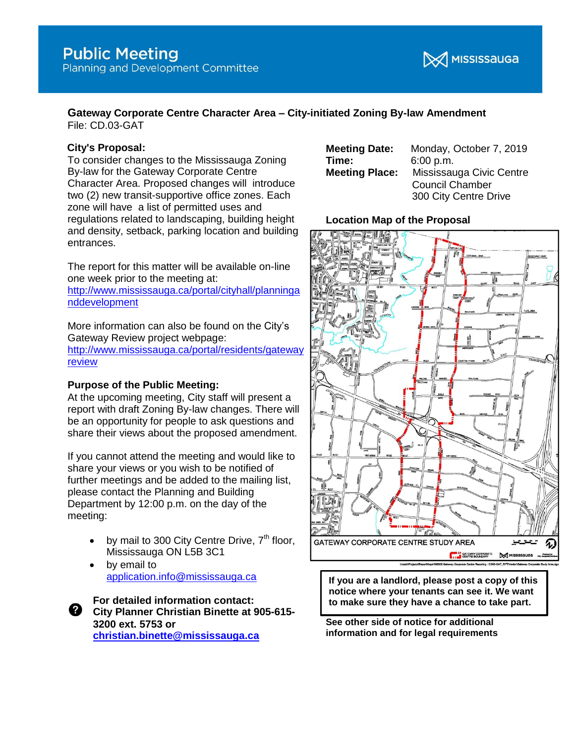

#### **Gateway Corporate Centre Character Area – City-initiated Zoning By-law Amendment** File: CD.03-GAT

**City's Proposal:** 

To consider changes to the Mississauga Zoning By-law for the Gateway Corporate Centre Character Area. Proposed changes will introduce two (2) new transit-supportive office zones. Each zone will have a list of permitted uses and regulations related to landscaping, building height and density, setback, parking location and building entrances.

The report for this matter will be available on-line one week prior to the meeting at:

[http://www.mississauga.ca/portal/cityhall/planninga](http://www.mississauga.ca/portal/cityhall/planninganddevelopment) [nddevelopment](http://www.mississauga.ca/portal/cityhall/planninganddevelopment)

More information can also be found on the City's Gateway Review project webpage:

[http://www.mississauga.ca/portal/residents/gateway](http://www.mississauga.ca/portal/residents/gatewayreview) [review](http://www.mississauga.ca/portal/residents/gatewayreview)

#### **Purpose of the Public Meeting:**

At the upcoming meeting, City staff will present a report with draft Zoning By-law changes. There will be an opportunity for people to ask questions and share their views about the proposed amendment.

If you cannot attend the meeting and would like to share your views or you wish to be notified of further meetings and be added to the mailing list, please contact the Planning and Building Department by 12:00 p.m. on the day of the meeting:

- by mail to 300 City Centre Drive,  $7<sup>th</sup>$  floor, Mississauga ON L5B 3C1
- by email to [application.info@mississauga.ca](mailto:application.info@mississauga.ca)

**For detailed information contact:** ❷ − **City Planner Christian Binette at 905-615- 3200 ext. 5753 or [christian.binette@mississauga.ca](mailto:christian.binette@mississauga.ca)**

| <b>Meeting Date:</b>  | Monday, October 7, 2019  |
|-----------------------|--------------------------|
| Time:                 | 6:00 p.m.                |
| <b>Meeting Place:</b> | Mississauga Civic Centre |
|                       | <b>Council Chamber</b>   |
|                       | 300 City Centre Drive    |

### **Location Map of the Proposal**



**If you are a landlord, please post a copy of this notice where your tenants can see it. We want to make sure they have a chance to take part.**

**See other side of notice for additional information and for legal requirements**